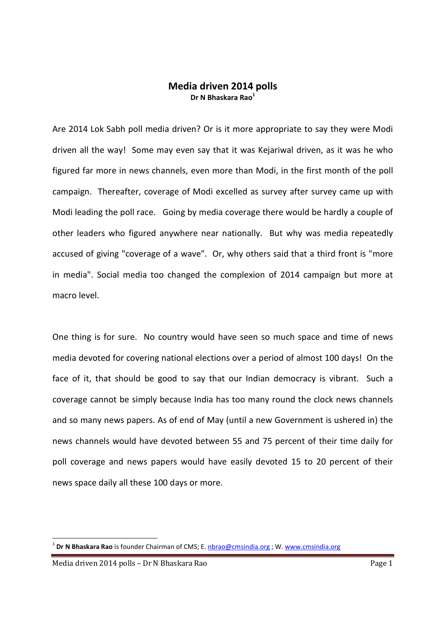## Media driven 2014 polls Dr N Bhaskara Rao $<sup>1</sup>$ </sup>

Are 2014 Lok Sabh poll media driven? Or is it more appropriate to say they were Modi driven all the way! Some may even say that it was Kejariwal driven, as it was he who figured far more in news channels, even more than Modi, in the first month of the poll campaign. Thereafter, coverage of Modi excelled as survey after survey came up with Modi leading the poll race. Going by media coverage there would be hardly a couple of other leaders who figured anywhere near nationally. But why was media repeatedly accused of giving "coverage of a wave". Or, why others said that a third front is "more in media". Social media too changed the complexion of 2014 campaign but more at macro level.

One thing is for sure. No country would have seen so much space and time of news media devoted for covering national elections over a period of almost 100 days! On the face of it, that should be good to say that our Indian democracy is vibrant. Such a coverage cannot be simply because India has too many round the clock news channels and so many news papers. As of end of May (until a new Government is ushered in) the news channels would have devoted between 55 and 75 percent of their time daily for poll coverage and news papers would have easily devoted 15 to 20 percent of their news space daily all these 100 days or more.

<u>.</u>

<sup>&</sup>lt;sup>1</sup> Dr N Bhaskara Rao is founder Chairman of CMS; E. **nbrao@cmsindia.org** ; W. www.cmsindia.org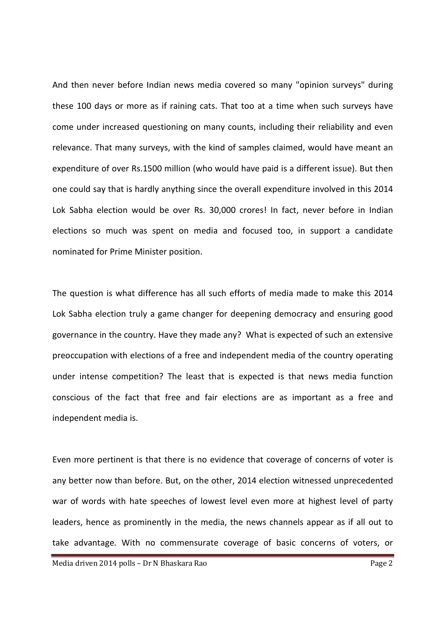And then never before Indian news media covered so many "opinion surveys" during these 100 days or more as if raining cats. That too at a time when such surveys have come under increased questioning on many counts, including their reliability and even relevance. That many surveys, with the kind of samples claimed, would have meant an expenditure of over Rs.1500 million (who would have paid is a different issue). But then one could say that is hardly anything since the overall expenditure involved in this 2014 Lok Sabha election would be over Rs. 30,000 crores! In fact, never before in Indian elections so much was spent on media and focused too, in support a candidate nominated for Prime Minister position.

The question is what difference has all such efforts of media made to make this 2014 Lok Sabha election truly a game changer for deepening democracy and ensuring good governance in the country. Have they made any? What is expected of such an extensive preoccupation with elections of a free and independent media of the country operating under intense competition? The least that is expected is that news media function conscious of the fact that free and fair elections are as important as a free and independent media is.

Even more pertinent is that there is no evidence that coverage of concerns of voter is any better now than before. But, on the other, 2014 election witnessed unprecedented war of words with hate speeches of lowest level even more at highest level of party leaders, hence as prominently in the media, the news channels appear as if all out to take advantage. With no commensurate coverage of basic concerns of voters, or